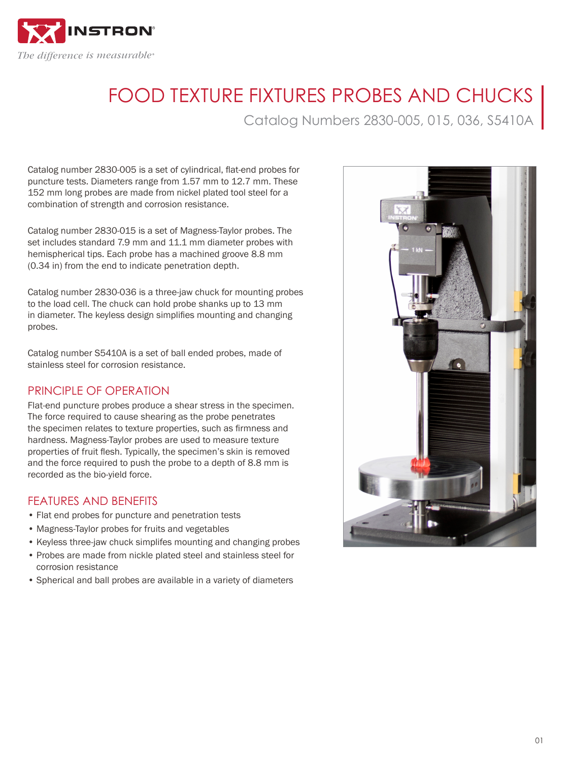

# FOOD TEXTURE FIXTURES PROBES AND CHUCKS

Catalog Numbers 2830-005, 015, 036, S5410A

Catalog number 2830-005 is a set of cylindrical, flat-end probes for puncture tests. Diameters range from 1.57 mm to 12.7 mm. These 152 mm long probes are made from nickel plated tool steel for a combination of strength and corrosion resistance.

Catalog number 2830-015 is a set of Magness-Taylor probes. The set includes standard 7.9 mm and 11.1 mm diameter probes with hemispherical tips. Each probe has a machined groove 8.8 mm (0.34 in) from the end to indicate penetration depth.

Catalog number 2830-036 is a three-jaw chuck for mounting probes to the load cell. The chuck can hold probe shanks up to 13 mm in diameter. The keyless design simplifies mounting and changing probes.

Catalog number S5410A is a set of ball ended probes, made of stainless steel for corrosion resistance.

# PRINCIPLE OF OPERATION

Flat-end puncture probes produce a shear stress in the specimen. The force required to cause shearing as the probe penetrates the specimen relates to texture properties, such as firmness and hardness. Magness-Taylor probes are used to measure texture properties of fruit flesh. Typically, the specimen's skin is removed and the force required to push the probe to a depth of 8.8 mm is recorded as the bio-yield force.

# FEATURES AND BENEFITS

- Flat end probes for puncture and penetration tests
- Magness-Taylor probes for fruits and vegetables
- Keyless three-jaw chuck simplifes mounting and changing probes
- Probes are made from nickle plated steel and stainless steel for corrosion resistance
- Spherical and ball probes are available in a variety of diameters